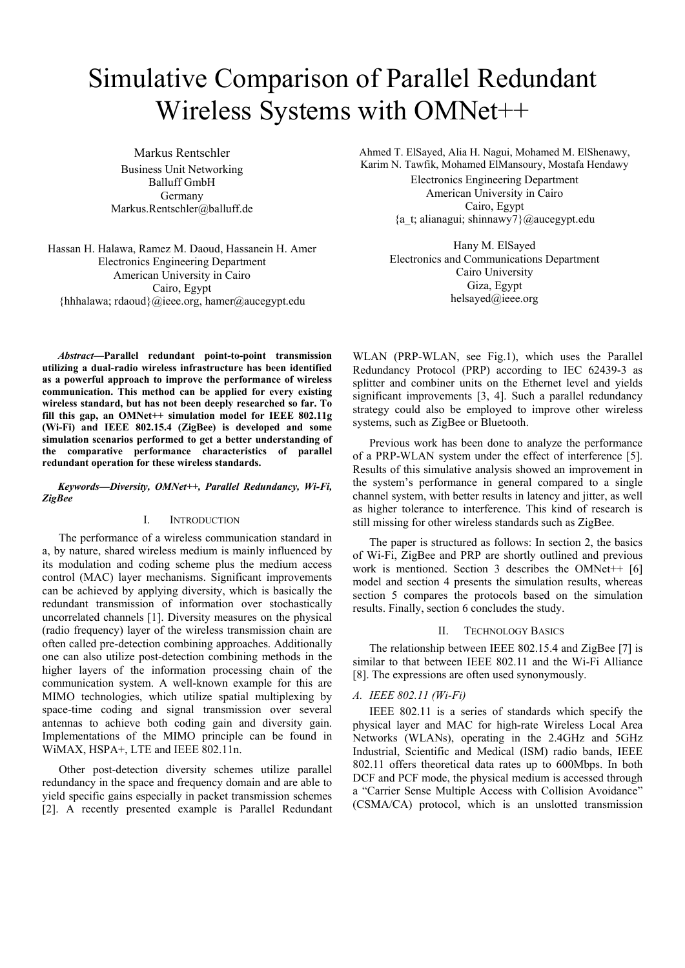# Simulative Comparison of Parallel Redundant Wireless Systems with OMNet++

Markus Rentschler Business Unit Networking Balluff GmbH Germany Markus.Rentschler@balluff.de

Hassan H. Halawa, Ramez M. Daoud, Hassanein H. Amer Electronics Engineering Department American University in Cairo Cairo, Egypt {hhhalawa; rdaoud}@ieee.org, hamer@aucegypt.edu

Ahmed T. ElSayed, Alia H. Nagui, Mohamed M. ElShenawy, Karim N. Tawfik, Mohamed ElMansoury, Mostafa Hendawy Electronics Engineering Department American University in Cairo Cairo, Egypt {a\_t; alianagui; shinnawy7}@aucegypt.edu

> Hany M. ElSayed Electronics and Communications Department Cairo University Giza, Egypt helsayed@ieee.org

*Abstract***—Parallel redundant point-to-point transmission utilizing a dual-radio wireless infrastructure has been identified as a powerful approach to improve the performance of wireless communication. This method can be applied for every existing wireless standard, but has not been deeply researched so far. To**  fill this gap, an OMNet++ simulation model for IEEE 802.11g **(Wi-Fi) and IEEE 802.15.4 (ZigBee) is developed and some simulation scenarios performed to get a better understanding of the comparative performance characteristics of parallel redundant operation for these wireless standards.** 

#### *Keywords—Diversity, OMNet++, Parallel Redundancy, Wi-Fi, ZigBee*

# I. INTRODUCTION

The performance of a wireless communication standard in a, by nature, shared wireless medium is mainly influenced by its modulation and coding scheme plus the medium access control (MAC) layer mechanisms. Significant improvements can be achieved by applying diversity, which is basically the redundant transmission of information over stochastically uncorrelated channels [1]. Diversity measures on the physical (radio frequency) layer of the wireless transmission chain are often called pre-detection combining approaches. Additionally one can also utilize post-detection combining methods in the higher layers of the information processing chain of the communication system. A well-known example for this are MIMO technologies, which utilize spatial multiplexing by space-time coding and signal transmission over several antennas to achieve both coding gain and diversity gain. Implementations of the MIMO principle can be found in WiMAX, HSPA+, LTE and IEEE 802.11n.

Other post-detection diversity schemes utilize parallel redundancy in the space and frequency domain and are able to yield specific gains especially in packet transmission schemes [2]. A recently presented example is Parallel Redundant

WLAN (PRP-WLAN, see Fig.1), which uses the Parallel Redundancy Protocol (PRP) according to IEC 62439-3 as splitter and combiner units on the Ethernet level and yields significant improvements [3, 4]. Such a parallel redundancy strategy could also be employed to improve other wireless systems, such as ZigBee or Bluetooth.

Previous work has been done to analyze the performance of a PRP-WLAN system under the effect of interference [5]. Results of this simulative analysis showed an improvement in the system's performance in general compared to a single channel system, with better results in latency and jitter, as well as higher tolerance to interference. This kind of research is still missing for other wireless standards such as ZigBee.

The paper is structured as follows: In section 2, the basics of Wi-Fi, ZigBee and PRP are shortly outlined and previous work is mentioned. Section 3 describes the OMNet++  $[6]$ model and section 4 presents the simulation results, whereas section 5 compares the protocols based on the simulation results. Finally, section 6 concludes the study.

#### II. TECHNOLOGY BASICS

The relationship between IEEE 802.15.4 and ZigBee [7] is similar to that between IEEE 802.11 and the Wi-Fi Alliance [8]. The expressions are often used synonymously.

# *A. IEEE 802.11 (Wi-Fi)*

IEEE 802.11 is a series of standards which specify the physical layer and MAC for high-rate Wireless Local Area Networks (WLANs), operating in the 2.4GHz and 5GHz Industrial, Scientific and Medical (ISM) radio bands, IEEE 802.11 offers theoretical data rates up to 600Mbps. In both DCF and PCF mode, the physical medium is accessed through a "Carrier Sense Multiple Access with Collision Avoidance" (CSMA/CA) protocol, which is an unslotted transmission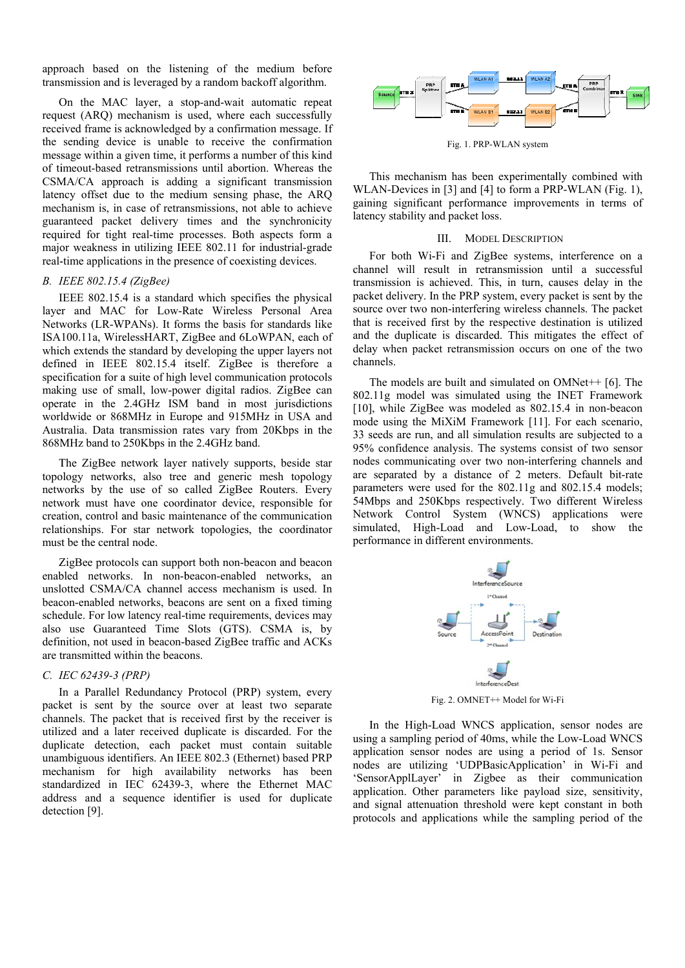approach based on the listening of the medium before transmission and is leveraged by a random backoff algorithm.

On the MAC layer, a stop-and-wait automatic repeat request (ARQ) mechanism is used, where each successfully received frame is acknowledged by a confirmation message. If the sending device is unable to receive the confirmation message within a given time, it performs a number of this kind of timeout-based retransmissions until abortion. Whereas the CSMA/CA approach is adding a significant transmission latency offset due to the medium sensing phase, the ARQ mechanism is, in case of retransmissions, not able to achieve guaranteed packet delivery times and the synchronicity required for tight real-time processes. Both aspects form a major weakness in utilizing IEEE 802.11 for industrial-grade real-time applications in the presence of coexisting devices.

## B. IEEE 802.15.4 (ZigBee)

IEEE 802.15.4 is a standard which specifies the physical layer and MAC for Low-Rate Wireless Personal Area Networks (LR-WPANs). It forms the basis for standards like ISA100.11a, WirelessHART, ZigBee and 6LoWPAN, each of which extends the standard by developing the upper layers not defined in IEEE 802.15.4 itself. ZigBee is therefore a specification for a suite of high level communication protocols making use of small, low-power digital radios. ZigBee can operate in the 2.4GHz ISM band in most jurisdictions worldwide or 868MHz in Europe and 915MHz in USA and Australia. Data transmission rates vary from 20Kbps in the 868MHz band to 250Kbps in the 2.4GHz band.

The ZigBee network layer natively supports, beside star topology networks, also tree and generic mesh topology networks by the use of so called ZigBee Routers. Every network must have one coordinator device, responsible for creation, control and basic maintenance of the communication relationships. For star network topologies, the coordinator must be the central node.

ZigBee protocols can support both non-beacon and beacon enabled networks. In non-beacon-enabled networks, an unslotted CSMA/CA channel access mechanism is used. In beacon-enabled networks, beacons are sent on a fixed timing schedule. For low latency real-time requirements, devices may also use Guaranteed Time Slots (GTS). CSMA is, by definition, not used in beacon-based ZigBee traffic and ACKs are transmitted within the beacons.

# C. IEC  $62439-3$  (PRP)

In a Parallel Redundancy Protocol (PRP) system, every packet is sent by the source over at least two separate channels. The packet that is received first by the receiver is utilized and a later received duplicate is discarded. For the duplicate detection, each packet must contain suitable unambiguous identifiers. An IEEE 802.3 (Ethernet) based PRP mechanism for high availability networks has been standardized in IEC 62439-3, where the Ethernet MAC address and a sequence identifier is used for duplicate detection [9].



Fig. 1. PRP-WLAN system

This mechanism has been experimentally combined with WLAN-Devices in [3] and [4] to form a PRP-WLAN (Fig. 1), gaining significant performance improvements in terms of latency stability and packet loss.

#### **III. MODEL DESCRIPTION**

For both Wi-Fi and ZigBee systems, interference on a channel will result in retransmission until a successful transmission is achieved. This, in turn, causes delay in the packet delivery. In the PRP system, every packet is sent by the source over two non-interfering wireless channels. The packet that is received first by the respective destination is utilized and the duplicate is discarded. This mitigates the effect of delay when packet retransmission occurs on one of the two channels

The models are built and simulated on  $OMNet+ [6]$ . The 802.11g model was simulated using the INET Framework [10], while ZigBee was modeled as  $802.15.4$  in non-beacon mode using the MiXiM Framework [11]. For each scenario, 33 seeds are run, and all simulation results are subjected to a 95% confidence analysis. The systems consist of two sensor nodes communicating over two non-interfering channels and are separated by a distance of 2 meters. Default bit-rate parameters were used for the 802.11g and 802.15.4 models; 54Mbps and 250Kbps respectively. Two different Wireless Network Control System (WNCS) applications were simulated, High-Load and Low-Load, to show the performance in different environments.



Fig. 2. OMNET++ Model for Wi-Fi

In the High-Load WNCS application, sensor nodes are using a sampling period of 40ms, while the Low-Load WNCS application sensor nodes are using a period of 1s. Sensor nodes are utilizing 'UDPBasicApplication' in Wi-Fi and 'SensorApplLayer' in Zigbee as their communication application. Other parameters like payload size, sensitivity, and signal attenuation threshold were kept constant in both protocols and applications while the sampling period of the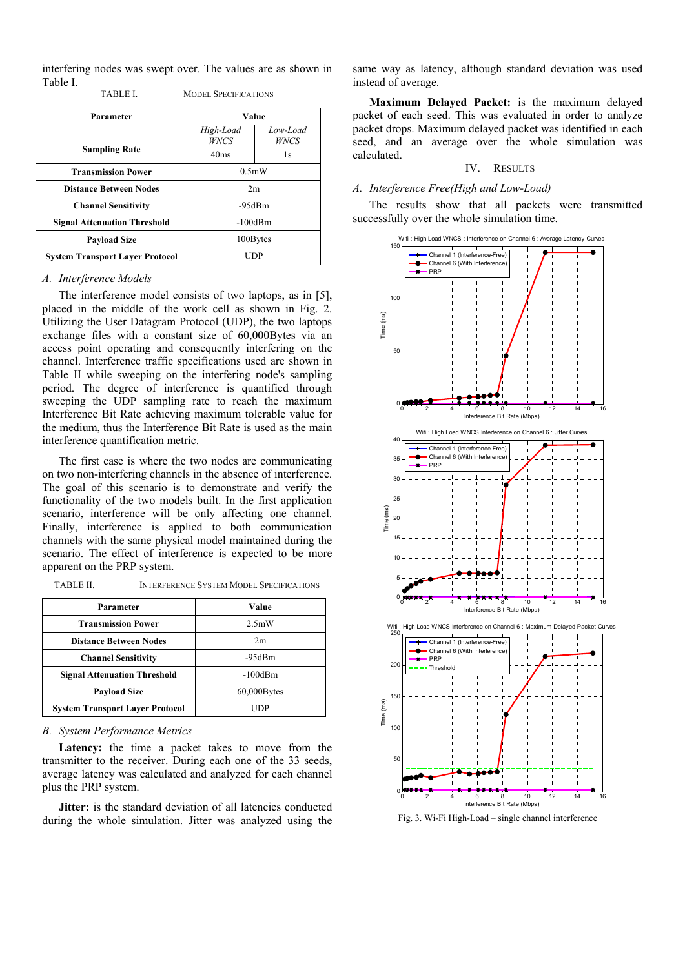interfering nodes was swept over. The values are as shown in Table I.

| <b>TABLE L</b> | <b>MODEL SPECIFICATIONS</b> |
|----------------|-----------------------------|
|                |                             |

| Parameter                              | Value             |                  |
|----------------------------------------|-------------------|------------------|
|                                        | High-Load<br>WNCS | Low-Load<br>WNCS |
| <b>Sampling Rate</b>                   | 40 <sub>ms</sub>  | 1s               |
| <b>Transmission Power</b>              | 0.5mW             |                  |
| <b>Distance Between Nodes</b>          | 2m                |                  |
| <b>Channel Sensitivity</b>             | -95dBm            |                  |
| <b>Signal Attenuation Threshold</b>    | $-100$ d $Bm$     |                  |
| <b>Payload Size</b>                    | 100Bytes          |                  |
| <b>System Transport Layer Protocol</b> | UDP               |                  |

#### *A. Interference Models*

The interference model consists of two laptops, as in [5], placed in the middle of the work cell as shown in Fig. 2. Utilizing the User Datagram Protocol (UDP), the two laptops exchange files with a constant size of 60,000Bytes via an access point operating and consequently interfering on the channel. Interference traffic specifications used are shown in Table II while sweeping on the interfering node's sampling period. The degree of interference is quantified through sweeping the UDP sampling rate to reach the maximum Interference Bit Rate achieving maximum tolerable value for the medium, thus the Interference Bit Rate is used as the main interference quantification metric.

The first case is where the two nodes are communicating on two non-interfering channels in the absence of interference. The goal of this scenario is to demonstrate and verify the functionality of the two models built. In the first application scenario, interference will be only affecting one channel. Finally, interference is applied to both communication channels with the same physical model maintained during the scenario. The effect of interference is expected to be more apparent on the PRP system.

| TABLE II. | <b>INTERFERENCE SYSTEM MODEL SPECIFICATIONS</b> |
|-----------|-------------------------------------------------|
|-----------|-------------------------------------------------|

| Parameter                              | Value          |
|----------------------------------------|----------------|
| <b>Transmission Power</b>              | 2.5mW          |
| <b>Distance Between Nodes</b>          | 2m             |
| <b>Channel Sensitivity</b>             | $-95dBm$       |
| <b>Signal Attenuation Threshold</b>    | $-100$ d $Bm$  |
| <b>Payload Size</b>                    | $60,000$ Bytes |
| <b>System Transport Layer Protocol</b> | UDP            |

# *B. System Performance Metrics*

**Latency:** the time a packet takes to move from the transmitter to the receiver. During each one of the 33 seeds, average latency was calculated and analyzed for each channel plus the PRP system.

**Jitter:** is the standard deviation of all latencies conducted during the whole simulation. Jitter was analyzed using the same way as latency, although standard deviation was used instead of average.

**Maximum Delayed Packet:** is the maximum delayed packet of each seed. This was evaluated in order to analyze packet drops. Maximum delayed packet was identified in each seed, and an average over the whole simulation was calculated.

# IV. RESULTS

## *A. Interference Free(High and Low-Load)*

The results show that all packets were transmitted successfully over the whole simulation time.



Fig. 3. Wi-Fi High-Load – single channel interference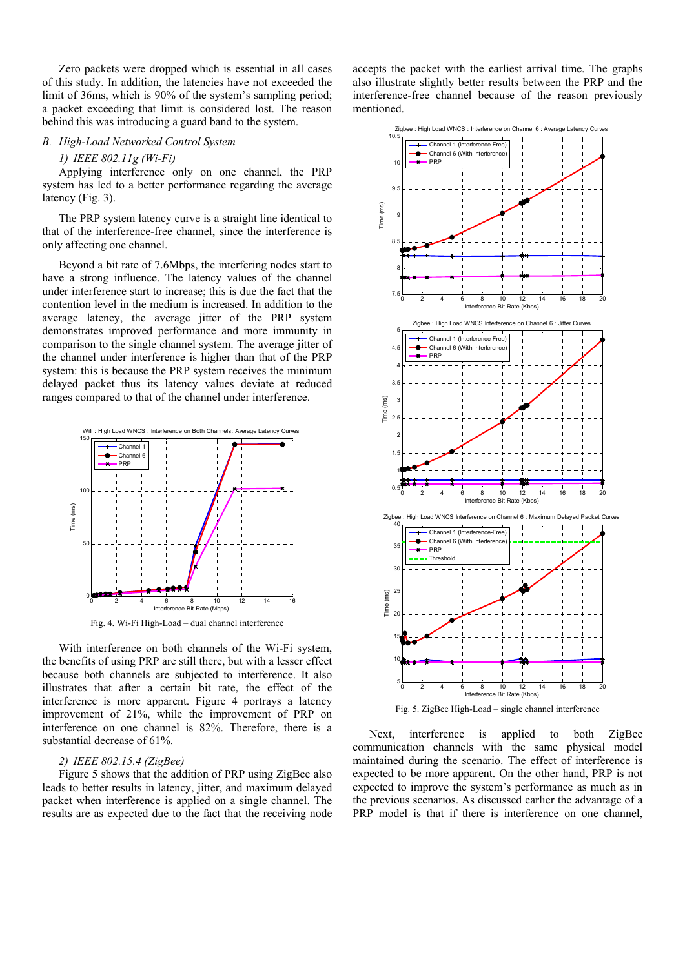Zero packets were dropped which is essential in all cases of this study. In addition, the latencies have not exceeded the limit of 36ms, which is 90% of the system's sampling period; a packet exceeding that limit is considered lost. The reason behind this was introducing a guard band to the system.

## *B. High-Load Networked Control System*

# *1) IEEE 802.11g (Wi-Fi)*

Applying interference only on one channel, the PRP system has led to a better performance regarding the average latency (Fig. 3).

The PRP system latency curve is a straight line identical to that of the interference-free channel, since the interference is only affecting one channel.

Beyond a bit rate of 7.6Mbps, the interfering nodes start to have a strong influence. The latency values of the channel under interference start to increase; this is due the fact that the contention level in the medium is increased. In addition to the average latency, the average jitter of the PRP system demonstrates improved performance and more immunity in comparison to the single channel system. The average jitter of the channel under interference is higher than that of the PRP system: this is because the PRP system receives the minimum delayed packet thus its latency values deviate at reduced ranges compared to that of the channel under interference.



Fig. 4. Wi-Fi High-Load – dual channel interference

With interference on both channels of the Wi-Fi system, the benefits of using PRP are still there, but with a lesser effect because both channels are subjected to interference. It also illustrates that after a certain bit rate, the effect of the interference is more apparent. Figure 4 portrays a latency improvement of 21%, while the improvement of PRP on interference on one channel is 82%. Therefore, there is a substantial decrease of 61%.

## *2) IEEE 802.15.4 (ZigBee)*

Figure 5 shows that the addition of PRP using ZigBee also leads to better results in latency, jitter, and maximum delayed packet when interference is applied on a single channel. The results are as expected due to the fact that the receiving node

accepts the packet with the earliest arrival time. The graphs also illustrate slightly better results between the PRP and the interference-free channel because of the reason previously mentioned.



Fig. 5. ZigBee High-Load – single channel interference

Next, interference is applied to both ZigBee communication channels with the same physical model maintained during the scenario. The effect of interference is expected to be more apparent. On the other hand, PRP is not expected to improve the system's performance as much as in the previous scenarios. As discussed earlier the advantage of a PRP model is that if there is interference on one channel,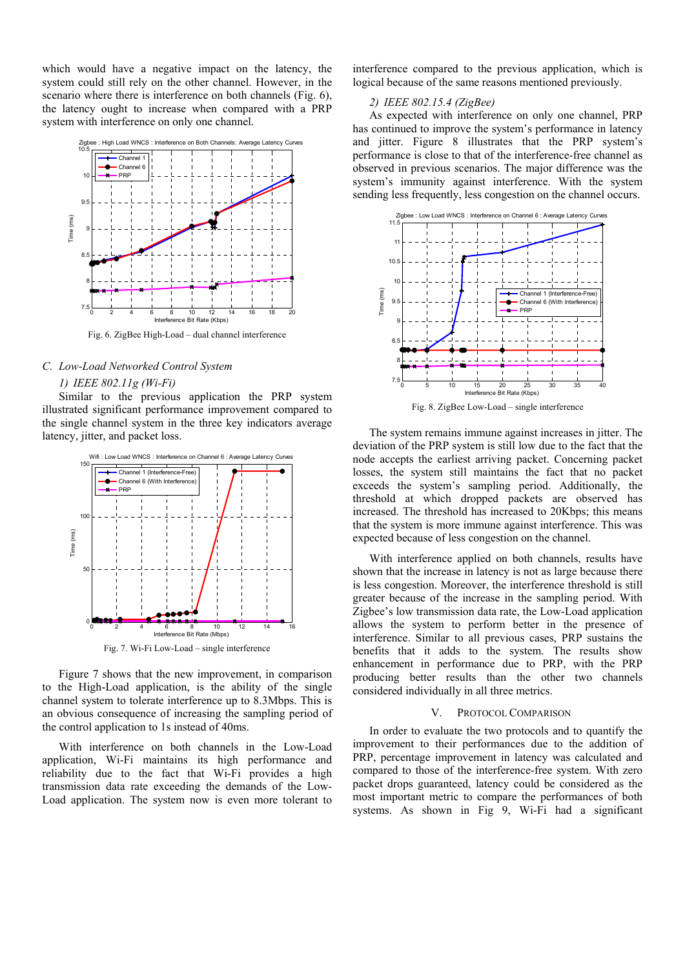which would have a negative impact on the latency, the system could still rely on the other channel. However, in the scenario where there is interference on both channels (Fig. 6), the latency ought to increase when compared with a PRP system with interference on only one channel.



Fig. 6. ZigBee High-Load – dual channel interference

#### *C. Low-Load Networked Control System*

## *1) IEEE 802.11g (Wi-Fi)*

Similar to the previous application the PRP system illustrated significant performance improvement compared to the single channel system in the three key indicators average latency, jitter, and packet loss.



Figure 7 shows that the new improvement, in comparison to the High-Load application, is the ability of the single channel system to tolerate interference up to 8.3Mbps. This is an obvious consequence of increasing the sampling period of the control application to 1s instead of 40ms.

With interference on both channels in the Low-Load application, Wi-Fi maintains its high performance and reliability due to the fact that Wi-Fi provides a high transmission data rate exceeding the demands of the Low-Load application. The system now is even more tolerant to interference compared to the previous application, which is logical because of the same reasons mentioned previously.

## *2) IEEE 802.15.4 (ZigBee)*

As expected with interference on only one channel, PRP has continued to improve the system's performance in latency and jitter. Figure 8 illustrates that the PRP system's performance is close to that of the interference-free channel as observed in previous scenarios. The major difference was the system's immunity against interference. With the system sending less frequently, less congestion on the channel occurs.



Fig. 8. ZigBee Low-Load – single interference

The system remains immune against increases in jitter. The deviation of the PRP system is still low due to the fact that the node accepts the earliest arriving packet. Concerning packet losses, the system still maintains the fact that no packet exceeds the system's sampling period. Additionally, the threshold at which dropped packets are observed has increased. The threshold has increased to 20Kbps; this means that the system is more immune against interference. This was expected because of less congestion on the channel.

With interference applied on both channels, results have shown that the increase in latency is not as large because there is less congestion. Moreover, the interference threshold is still greater because of the increase in the sampling period. With Zigbee's low transmission data rate, the Low-Load application allows the system to perform better in the presence of interference. Similar to all previous cases, PRP sustains the benefits that it adds to the system. The results show enhancement in performance due to PRP, with the PRP producing better results than the other two channels considered individually in all three metrics.

# V. PROTOCOL COMPARISON

In order to evaluate the two protocols and to quantify the improvement to their performances due to the addition of PRP, percentage improvement in latency was calculated and compared to those of the interference-free system. With zero packet drops guaranteed, latency could be considered as the most important metric to compare the performances of both systems. As shown in Fig 9, Wi-Fi had a significant